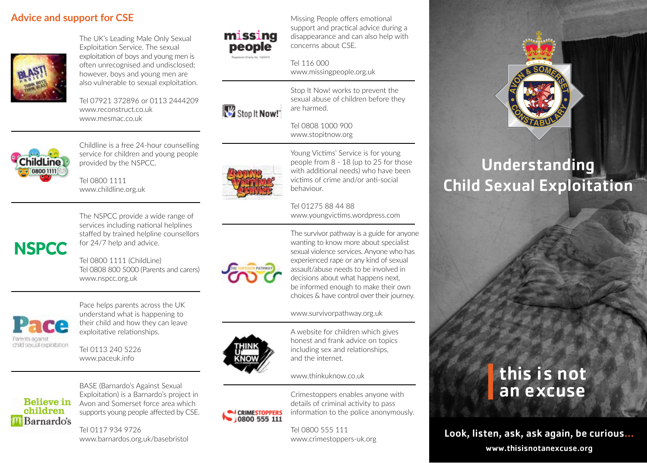### **Advice and support for CSE**



The UK's Leading Male Only Sexual Exploitation Service. The sexual exploitation of boys and young men is often unrecognised and undisclosed; however, boys and young men are also vulnerable to sexual exploitation.

Tel 07921 372896 or 0113 2444209 www.reconstruct.co.uk www.mesmac.co.uk

Childline is a free 24-hour counselling service for children and young people

provided by the NSPCC.

Tel 0800 1111 www.childline.org.uk



Missing People offers emotional support and practical advice during a disappearance and can also help with concerns about CSE.

Tel 116 000 www.missingpeople.org.uk



Stop It Now! works to prevent the sexual abuse of children before they are harmed.

#### Tel 0808 1000 900 www.stopitnow.org



Young Victims' Service is for young people from 8 - 18 (up to 25 for those with additional needs) who have been victims of crime and/or anti-social behaviour.

Tel 01275 88 44 88 www.youngvictims.wordpress.com



hildLine 08001111

> The NSPCC provide a wide range of services including national helplines staffed by trained helpline counsellors for 24/7 help and advice.

> Tel 0800 1111 (ChildLine) Tel 0808 800 5000 (Parents and carers) www.nspcc.org.uk



Pace helps parents across the UK understand what is happening to their child and how they can leave exploitative relationships.

Tel 0113 240 5226 www.paceuk.info



BASE (Barnardo's Against Sexual Exploitation) is a Barnardo's project in Avon and Somerset force area which supports young people affected by CSE.

Tel 0117 934 9726 www.barnardos.org.uk/basebristol



The survivor pathway is a guide for anyone wanting to know more about specialist sexual violence services. Anyone who has experienced rape or any kind of sexual assault/abuse needs to be involved in decisions about what happens next, be informed enough to make their own choices & have control over their journey.

#### www.survivorpathway.org.uk



A website for children which gives honest and frank advice on topics including sex and relationships, and the internet.

www.thinkuknow.co.uk



Crimestoppers enables anyone with details of criminal activity to pass information to the police anonymously.

Tel 0800 555 111 www.crimestoppers-uk.org



# Understanding Child Sexual Exploitation

## this is not an excuse

Look, listen, ask, ask again, be curious...

www.thisisnotanexcuse.org